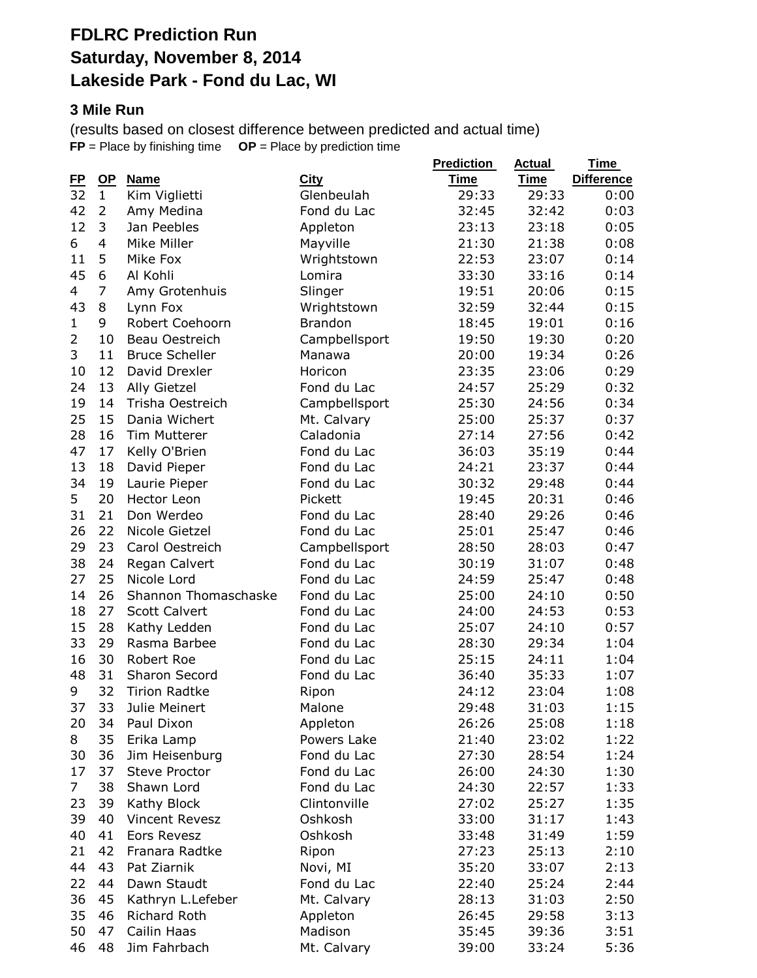## **FDLRC Prediction Run Saturday, November 8, 2014 Lakeside Park - Fond du Lac, WI**

#### **3 Mile Run**

(results based on closest difference between predicted and actual time) **FP** = Place by finishing time **OP** = Place by prediction time

| <u>FP</u>      | $\mathbf{Q}$   | <b>Name</b>           | <b>City</b>         | <b>Prediction</b><br><b>Time</b> | <b>Actual</b><br>Time | <u>Time</u><br><b>Difference</b> |
|----------------|----------------|-----------------------|---------------------|----------------------------------|-----------------------|----------------------------------|
| 32             | $\mathbf{1}$   | Kim Viglietti         | Glenbeulah          | 29:33                            | 29:33                 | 0:00                             |
| 42             | $\overline{2}$ | Amy Medina            | Fond du Lac         | 32:45                            | 32:42                 | 0:03                             |
| 12             | 3              | Jan Peebles           | Appleton            | 23:13                            | 23:18                 | 0:05                             |
| 6              | 4              | Mike Miller           | Mayville            | 21:30                            | 21:38                 | 0:08                             |
| 11             | 5              | Mike Fox              | Wrightstown         | 22:53                            | 23:07                 | 0:14                             |
| 45             | 6              | Al Kohli              | Lomira              | 33:30                            | 33:16                 | 0:14                             |
| 4              | 7              | Amy Grotenhuis        | Slinger             | 19:51                            | 20:06                 | 0:15                             |
| 43             | 8              | Lynn Fox              | Wrightstown         | 32:59                            | 32:44                 | 0:15                             |
| $\mathbf{1}$   | 9              | Robert Coehoorn       | <b>Brandon</b>      | 18:45                            | 19:01                 | 0:16                             |
| 2              | 10             | Beau Oestreich        | Campbellsport       | 19:50                            | 19:30                 | 0:20                             |
| 3              | 11             | <b>Bruce Scheller</b> | Manawa              | 20:00                            | 19:34                 | 0:26                             |
| 10             | 12             | David Drexler         | Horicon             | 23:35                            | 23:06                 | 0:29                             |
| 24             | 13             | <b>Ally Gietzel</b>   | Fond du Lac         | 24:57                            | 25:29                 | 0:32                             |
| 19             | 14             | Trisha Oestreich      | Campbellsport       | 25:30                            | 24:56                 | 0:34                             |
| 25             | 15             | Dania Wichert         | Mt. Calvary         | 25:00                            | 25:37                 | 0:37                             |
| 28             | 16             | Tim Mutterer          | Caladonia           | 27:14                            | 27:56                 | 0:42                             |
| 47             | 17             | Kelly O'Brien         | Fond du Lac         | 36:03                            | 35:19                 | 0:44                             |
| 13             | 18             | David Pieper          | Fond du Lac         | 24:21                            | 23:37                 | 0:44                             |
| 34             | 19             | Laurie Pieper         | Fond du Lac         | 30:32                            | 29:48                 | 0:44                             |
| 5              | 20             | Hector Leon           | Pickett             | 19:45                            | 20:31                 | 0:46                             |
| 31             | 21             | Don Werdeo            | Fond du Lac         | 28:40                            | 29:26                 | 0:46                             |
| 26             | 22             | Nicole Gietzel        | Fond du Lac         | 25:01                            | 25:47                 | 0:46                             |
| 29             | 23             | Carol Oestreich       | Campbellsport       | 28:50                            | 28:03                 | 0:47                             |
| 38             | 24             | Regan Calvert         | Fond du Lac         | 30:19                            | 31:07                 | 0:48                             |
| 27             | 25             | Nicole Lord           | Fond du Lac         | 24:59                            | 25:47                 | 0:48                             |
| 14             | 26             | Shannon Thomaschaske  | Fond du Lac         | 25:00                            | 24:10                 | 0:50                             |
| 18             | 27             | <b>Scott Calvert</b>  | Fond du Lac         | 24:00                            | 24:53                 | 0:53                             |
| 15             | 28             | Kathy Ledden          | Fond du Lac         | 25:07                            | 24:10                 | 0:57                             |
| 33             | 29             | Rasma Barbee          | Fond du Lac         | 28:30                            | 29:34                 | 1:04                             |
| 16             | 30             | Robert Roe            | Fond du Lac         | 25:15                            | 24:11                 | 1:04                             |
| 48             | 31             | Sharon Secord         | Fond du Lac         | 36:40                            | 35:33                 | 1:07                             |
| 9              | 32             | <b>Tirion Radtke</b>  | Ripon               | 24:12                            | 23:04                 | 1:08                             |
| 37             | 33             | Julie Meinert         | Malone              | 29:48                            | 31:03                 | 1:15                             |
| 20             | 34             | Paul Dixon            | Appleton            | 26:26                            | 25:08                 | 1:18                             |
| 8              | 35             | Erika Lamp            | Powers Lake         | 21:40                            | 23:02                 | 1:22                             |
| 30             | 36             | Jim Heisenburg        | Fond du Lac         | 27:30                            | 28:54                 | 1:24                             |
| 17             | 37             | <b>Steve Proctor</b>  | Fond du Lac         | 26:00                            | 24:30                 | 1:30                             |
| $\overline{7}$ | 38             | Shawn Lord            | Fond du Lac         | 24:30                            | 22:57                 | 1:33                             |
| 23             | 39             | Kathy Block           | Clintonville        | 27:02                            | 25:27                 | 1:35                             |
| 39             | 40             | Vincent Revesz        | Oshkosh             | 33:00                            | 31:17                 | 1:43                             |
| 40             | 41             | <b>Eors Revesz</b>    | Oshkosh             | 33:48                            | 31:49                 | 1:59                             |
| 21             | 42             | Franara Radtke        | Ripon               | 27:23                            | 25:13                 | 2:10                             |
| 44             | 43             | Pat Ziarnik           | Novi, MI            | 35:20                            | 33:07                 | 2:13                             |
| 22             | 44             | Dawn Staudt           | Fond du Lac         | 22:40                            | 25:24                 | 2:44                             |
| 36             | 45             | Kathryn L.Lefeber     | Mt. Calvary         | 28:13                            | 31:03                 | 2:50                             |
| 35             | 46             | Richard Roth          |                     | 26:45                            | 29:58                 | 3:13                             |
| 50             | 47             | Cailin Haas           | Appleton<br>Madison | 35:45                            | 39:36                 | 3:51                             |
|                | 48             |                       |                     |                                  |                       |                                  |
| 46             |                | Jim Fahrbach          | Mt. Calvary         | 39:00                            | 33:24                 | 5:36                             |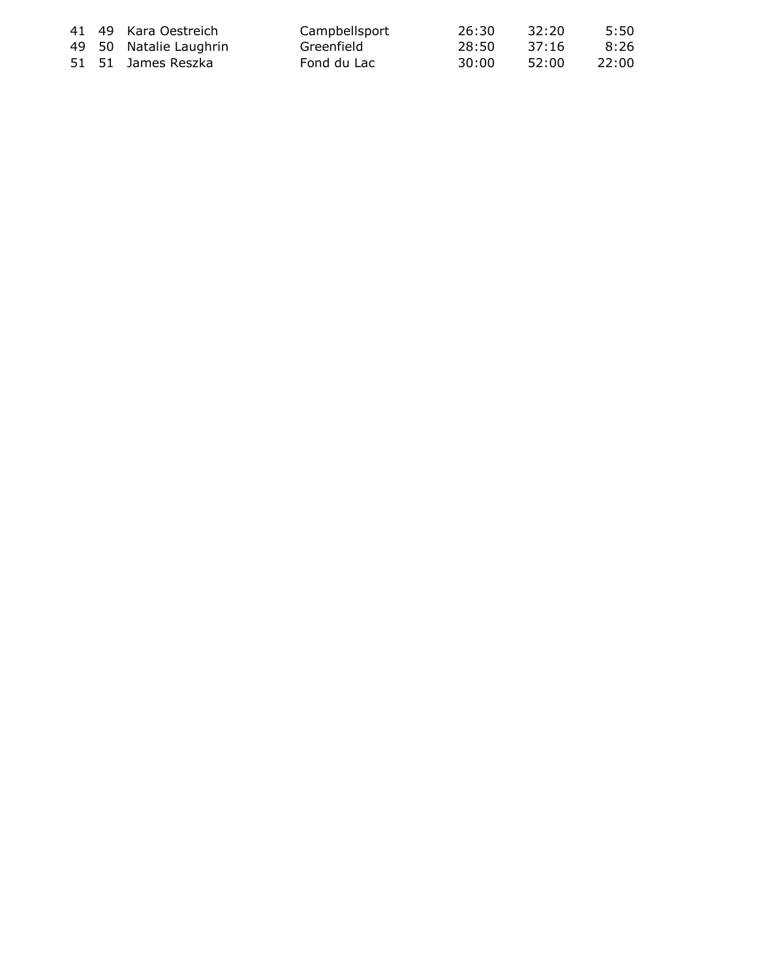|  | 41 49 Kara Oestreich   | Campbellsport | -26:30 | 32:20 | 5:50   |
|--|------------------------|---------------|--------|-------|--------|
|  | 49 50 Natalie Laughrin | Greenfield    | -28:50 | 37:16 | 8:26   |
|  | 51 51 James Reszka     | Fond du Lac   | 30:00  | 52:00 | -22:00 |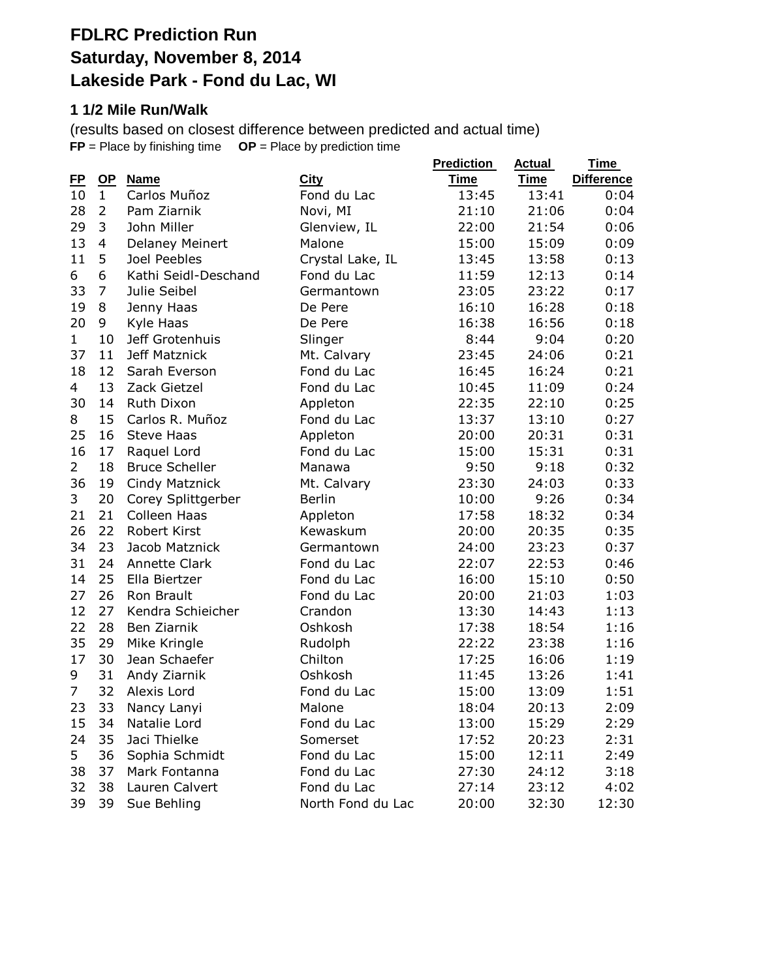# **FDLRC Prediction Run Saturday, November 8, 2014 Lakeside Park - Fond du Lac, WI**

#### **1 1/2 Mile Run/Walk**

(results based on closest difference between predicted and actual time) **FP** = Place by finishing time **OP** = Place by prediction time

|                |                |                       |                   | <b>Prediction</b> | <b>Actual</b> | <u>Time</u>       |
|----------------|----------------|-----------------------|-------------------|-------------------|---------------|-------------------|
| <u>FP</u>      | $OP$           | Name                  | City              | <b>Time</b>       | <b>Time</b>   | <b>Difference</b> |
| 10             | $\mathbf{1}$   | Carlos Muñoz          | Fond du Lac       | 13:45             | 13:41         | 0:04              |
| 28             | $\overline{2}$ | Pam Ziarnik           | Novi, MI          | 21:10             | 21:06         | 0:04              |
| 29             | 3              | John Miller           | Glenview, IL      | 22:00             | 21:54         | 0:06              |
| 13             | 4              | Delaney Meinert       | Malone            | 15:00             | 15:09         | 0:09              |
| 11             | 5              | Joel Peebles          | Crystal Lake, IL  | 13:45             | 13:58         | 0:13              |
| 6              | 6              | Kathi Seidl-Deschand  | Fond du Lac       | 11:59             | 12:13         | 0:14              |
| 33             | 7              | Julie Seibel          | Germantown        | 23:05             | 23:22         | 0:17              |
| 19             | 8              | Jenny Haas            | De Pere           | 16:10             | 16:28         | 0:18              |
| 20             | 9              | Kyle Haas             | De Pere           | 16:38             | 16:56         | 0:18              |
| $\mathbf{1}$   | 10             | Jeff Grotenhuis       | Slinger           | 8:44              | 9:04          | 0:20              |
| 37             | 11             | Jeff Matznick         | Mt. Calvary       | 23:45             | 24:06         | 0:21              |
| 18             | 12             | Sarah Everson         | Fond du Lac       | 16:45             | 16:24         | 0:21              |
| 4              | 13             | Zack Gietzel          | Fond du Lac       | 10:45             | 11:09         | 0:24              |
| 30             | 14             | Ruth Dixon            | Appleton          | 22:35             | 22:10         | 0:25              |
| 8              | 15             | Carlos R. Muñoz       | Fond du Lac       | 13:37             | 13:10         | 0:27              |
| 25             | 16             | <b>Steve Haas</b>     | Appleton          | 20:00             | 20:31         | 0:31              |
| 16             | 17             | Raquel Lord           | Fond du Lac       | 15:00             | 15:31         | 0:31              |
| $\overline{2}$ | 18             | <b>Bruce Scheller</b> | Manawa            | 9:50              | 9:18          | 0:32              |
| 36             | 19             | Cindy Matznick        | Mt. Calvary       | 23:30             | 24:03         | 0:33              |
| 3              | 20             | Corey Splittgerber    | <b>Berlin</b>     | 10:00             | 9:26          | 0:34              |
| 21             | 21             | Colleen Haas          | Appleton          | 17:58             | 18:32         | 0:34              |
| 26             | 22             | Robert Kirst          | Kewaskum          | 20:00             | 20:35         | 0:35              |
| 34             | 23             | Jacob Matznick        | Germantown        | 24:00             | 23:23         | 0:37              |
| 31             | 24             | <b>Annette Clark</b>  | Fond du Lac       | 22:07             | 22:53         | 0:46              |
| 14             | 25             | Ella Biertzer         | Fond du Lac       | 16:00             | 15:10         | 0:50              |
| 27             | 26             | Ron Brault            | Fond du Lac       | 20:00             | 21:03         | 1:03              |
| 12             | 27             | Kendra Schieicher     | Crandon           | 13:30             | 14:43         | 1:13              |
| 22             | 28             | Ben Ziarnik           | Oshkosh           | 17:38             | 18:54         | 1:16              |
| 35             | 29             | Mike Kringle          | Rudolph           | 22:22             | 23:38         | 1:16              |
| 17             | 30             | Jean Schaefer         | Chilton           | 17:25             | 16:06         | 1:19              |
| 9              | 31             | Andy Ziarnik          | Oshkosh           | 11:45             | 13:26         | 1:41              |
| 7              | 32             | Alexis Lord           | Fond du Lac       | 15:00             | 13:09         | 1:51              |
| 23             |                | 33 Nancy Lanyi        | Malone            | 18:04             | 20:13         | 2:09              |
| 15             | 34             | Natalie Lord          | Fond du Lac       | 13:00             | 15:29         | 2:29              |
| 24             | 35             | Jaci Thielke          | Somerset          | 17:52             | 20:23         | 2:31              |
| 5              | 36             | Sophia Schmidt        | Fond du Lac       | 15:00             | 12:11         | 2:49              |
| 38             | 37             | Mark Fontanna         | Fond du Lac       | 27:30             | 24:12         | 3:18              |
| 32             | 38             | Lauren Calvert        | Fond du Lac       | 27:14             | 23:12         | 4:02              |
| 39             | 39             | Sue Behling           | North Fond du Lac | 20:00             | 32:30         | 12:30             |